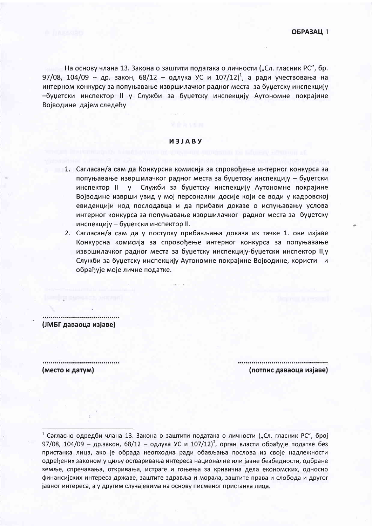На основу члана 13. Закона о заштити података о личности ("Сл. гласник РС", бр. 97/08, 104/09 - др. закон, 68/12 - одлука УС и  $107/12$ <sup>1</sup>, а ради учествовања на интерном конкурсу за попуњавање извршилачког радног места за буџетску инспекцију -буџетски инспектор II у Служби за буџетску инспекцију Аутономне покрајине Војводине дајем следећу

## *M3JABY*

- 1. Сагласан/а сам да Конкурсна комисија за спровођење интерног конкурса за попуњавање извршилачког радног места за буџетску инспекцију - буџетски инспектор II у Служби за буџетску инспекцију Аутономне покрајине Војводине изврши увид у мој персонални досије који се води у кадровској евиденцији код послодавца и да прибави доказе о испуњавању услова интерног конкурса за попуњавање извршилачког радног места за буџетску инспекцију - буџетски инспектор II.
- 2. Сагласан/а сам да у поступку прибављања доказа из тачке 1. ове изјаве Конкурсна комисија за спровођење интерног конкурса за попуњавање извршилачког радног места за буџетску инспекцију-буџетски инспектор II, у Служби за буџетску инспекцију Аутономне покрајине Војводине, користи и обрађује моје личне податке.

...................................... (ЈМБГ даваоца изјаве)

建筑 医慢性毒素素 法保险利润

(место и датум)

(потпис даваоца изјаве)

<sup>&</sup>lt;sup>1</sup> Сагласно одредби члана 13. Закона о заштити података о личности ("Сл. гласник РС", број 97/08, 104/09 — др.закон, 68/12 — одлука УС и 107/12)<sup>1</sup>, орган власти обрађује податке без пристанка лица, ако је обрада неопходна ради обављања послова из своје надлежности одређених законом у циљу остваривања интереса националне или јавне безбедности, одбране земље, спречавања, откривања, истраге и гоњења за кривична дела економских, односно финансијских интереса државе, заштите здравља и морала, заштите права и слобода и другог јавног интереса, а у другим случајевима на основу писменог пристанка лица.